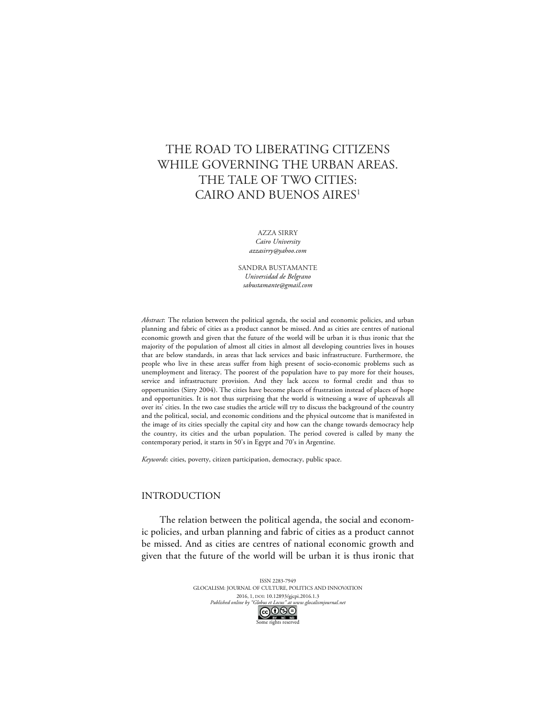# THE ROAD TO LIBERATING CITIZENS WHILE GOVERNING THE URBAN AREAS. THE TALE OF TWO CITIES: CAIRO AND BUENOS AIRES<sup>1</sup>

AZZA SIRRY *Cairo University azzasirry@yahoo.com*

SANDRA BUSTAMANTE *Universidad de Belgrano sabustamante@gmail.com*

*Abstract*: The relation between the political agenda, the social and economic policies, and urban planning and fabric of cities as a product cannot be missed. And as cities are centres of national economic growth and given that the future of the world will be urban it is thus ironic that the majority of the population of almost all cities in almost all developing countries lives in houses that are below standards, in areas that lack services and basic infrastructure. Furthermore, the people who live in these areas suffer from high present of socio-economic problems such as unemployment and literacy. The poorest of the population have to pay more for their houses, service and infrastructure provision. And they lack access to formal credit and thus to opportunities (Sirry 2004). The cities have become places of frustration instead of places of hope and opportunities. It is not thus surprising that the world is witnessing a wave of upheavals all over its' cities. In the two case studies the article will try to discuss the background of the country and the political, social, and economic conditions and the physical outcome that is manifested in the image of its cities specially the capital city and how can the change towards democracy help the country, its cities and the urban population. The period covered is called by many the contemporary period, it starts in 50's in Egypt and 70's in Argentine.

*Keywords*: cities, poverty, citizen participation, democracy, public space.

# INTRODUCTION

The relation between the political agenda, the social and economic policies, and urban planning and fabric of cities as a product cannot be missed. And as cities are centres of national economic growth and given that the future of the world will be urban it is thus ironic that

> ISSN 2283-7949 GLOCALISM: JOURNAL OF CULTURE, POLITICS AND INNOVATION 2016, 1, DOI: 10.12893/gjcpi.2016.1.3<br>nline by "Globus et Locus" at www.glocalismjournal.net *Published online by "Globus et Locus" at www.glocalismigue by*  $\bigodot_{BV} \bigodot_{NC} \bigodot_{ND} \bigodot$ me rights reserved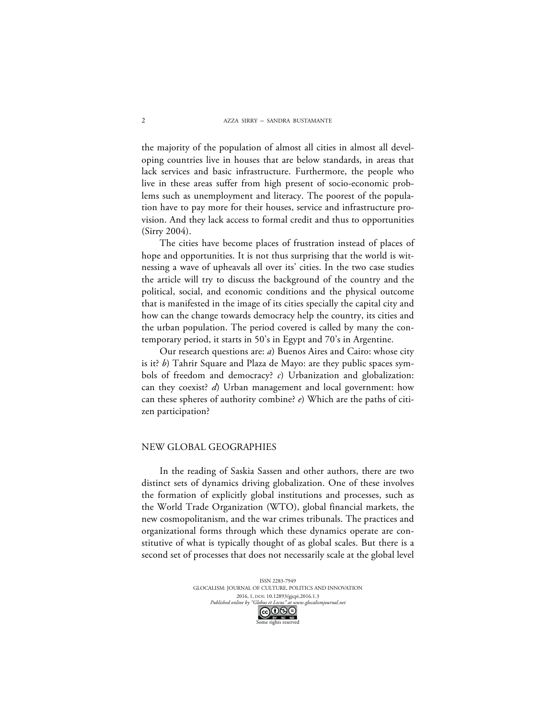the majority of the population of almost all cities in almost all developing countries live in houses that are below standards, in areas that lack services and basic infrastructure. Furthermore, the people who live in these areas suffer from high present of socio-economic problems such as unemployment and literacy. The poorest of the population have to pay more for their houses, service and infrastructure provision. And they lack access to formal credit and thus to opportunities (Sirry 2004).

The cities have become places of frustration instead of places of hope and opportunities. It is not thus surprising that the world is witnessing a wave of upheavals all over its' cities. In the two case studies the article will try to discuss the background of the country and the political, social, and economic conditions and the physical outcome that is manifested in the image of its cities specially the capital city and how can the change towards democracy help the country, its cities and the urban population. The period covered is called by many the contemporary period, it starts in 50's in Egypt and 70's in Argentine.

Our research questions are: *a*) Buenos Aires and Cairo: whose city is it? *b*) Tahrir Square and Plaza de Mayo: are they public spaces symbols of freedom and democracy? *c*) Urbanization and globalization: can they coexist? *d*) Urban management and local government: how can these spheres of authority combine? *e*) Which are the paths of citizen participation?

#### NEW GLOBAL GEOGRAPHIES

In the reading of Saskia Sassen and other authors, there are two distinct sets of dynamics driving globalization. One of these involves the formation of explicitly global institutions and processes, such as the World Trade Organization (WTO), global financial markets, the new cosmopolitanism, and the war crimes tribunals. The practices and organizational forms through which these dynamics operate are constitutive of what is typically thought of as global scales. But there is a second set of processes that does not necessarily scale at the global level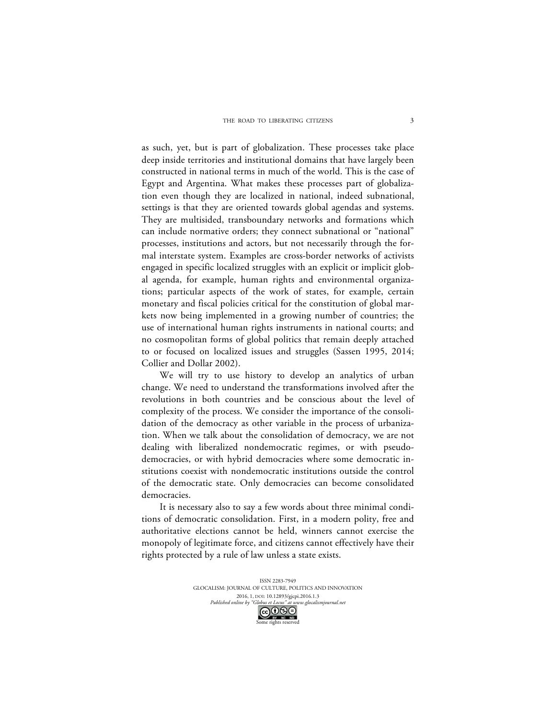as such, yet, but is part of globalization. These processes take place deep inside territories and institutional domains that have largely been constructed in national terms in much of the world. This is the case of Egypt and Argentina. What makes these processes part of globalization even though they are localized in national, indeed subnational, settings is that they are oriented towards global agendas and systems. They are multisided, transboundary networks and formations which can include normative orders; they connect subnational or "national" processes, institutions and actors, but not necessarily through the formal interstate system. Examples are cross-border networks of activists engaged in specific localized struggles with an explicit or implicit global agenda, for example, human rights and environmental organizations; particular aspects of the work of states, for example, certain monetary and fiscal policies critical for the constitution of global markets now being implemented in a growing number of countries; the use of international human rights instruments in national courts; and no cosmopolitan forms of global politics that remain deeply attached to or focused on localized issues and struggles (Sassen 1995, 2014; Collier and Dollar 2002).

We will try to use history to develop an analytics of urban change. We need to understand the transformations involved after the revolutions in both countries and be conscious about the level of complexity of the process. We consider the importance of the consolidation of the democracy as other variable in the process of urbanization. When we talk about the consolidation of democracy, we are not dealing with liberalized nondemocratic regimes, or with pseudodemocracies, or with hybrid democracies where some democratic institutions coexist with nondemocratic institutions outside the control of the democratic state. Only democracies can become consolidated democracies.

It is necessary also to say a few words about three minimal conditions of democratic consolidation. First, in a modern polity, free and authoritative elections cannot be held, winners cannot exercise the monopoly of legitimate force, and citizens cannot effectively have their rights protected by a rule of law unless a state exists.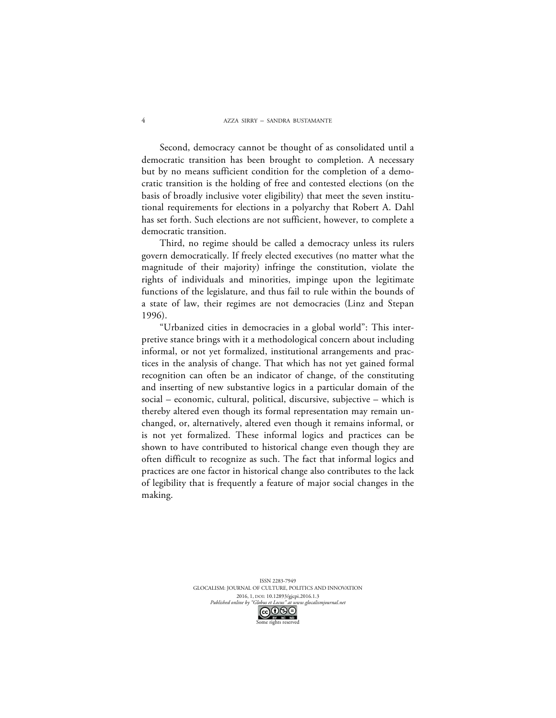Second, democracy cannot be thought of as consolidated until a democratic transition has been brought to completion. A necessary but by no means sufficient condition for the completion of a democratic transition is the holding of free and contested elections (on the basis of broadly inclusive voter eligibility) that meet the seven institutional requirements for elections in a polyarchy that Robert A. Dahl has set forth. Such elections are not sufficient, however, to complete a democratic transition.

Third, no regime should be called a democracy unless its rulers govern democratically. If freely elected executives (no matter what the magnitude of their majority) infringe the constitution, violate the rights of individuals and minorities, impinge upon the legitimate functions of the legislature, and thus fail to rule within the bounds of a state of law, their regimes are not democracies (Linz and Stepan 1996).

"Urbanized cities in democracies in a global world": This interpretive stance brings with it a methodological concern about including informal, or not yet formalized, institutional arrangements and practices in the analysis of change. That which has not yet gained formal recognition can often be an indicator of change, of the constituting and inserting of new substantive logics in a particular domain of the social – economic, cultural, political, discursive, subjective – which is thereby altered even though its formal representation may remain unchanged, or, alternatively, altered even though it remains informal, or is not yet formalized. These informal logics and practices can be shown to have contributed to historical change even though they are often difficult to recognize as such. The fact that informal logics and practices are one factor in historical change also contributes to the lack of legibility that is frequently a feature of major social changes in the making.

> ISSN 2283-7949 GLOCALISM: JOURNAL OF CULTURE, POLITICS AND INNOVATION 2016, 1, DOI: 10.12893/gjcpi.2016.1.3<br>nline by "Globus et Locus" at www.glocalismjournal.net *Published online by "Globus et Locus" at w.*<br> $\bigodot$   $\bigodot$   $\bigodot$ ne rights reserved

4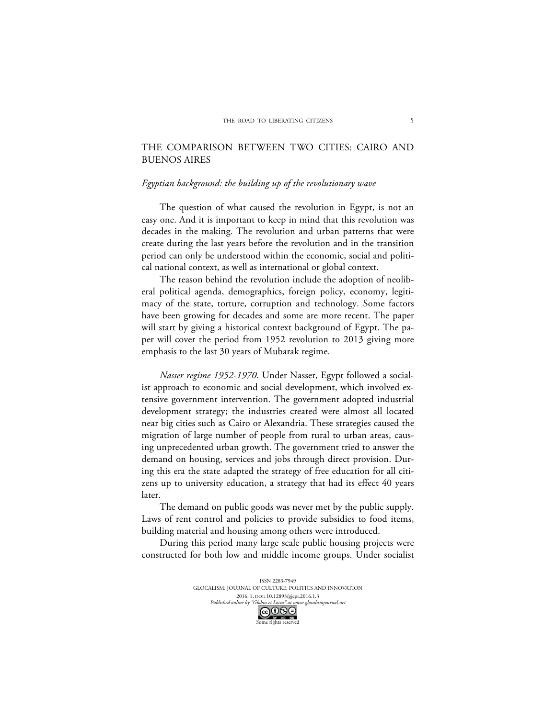# THE COMPARISON BETWEEN TWO CITIES: CAIRO AND BUENOS AIRES

#### *Egyptian background: the building up of the revolutionary wave*

The question of what caused the revolution in Egypt, is not an easy one. And it is important to keep in mind that this revolution was decades in the making. The revolution and urban patterns that were create during the last years before the revolution and in the transition period can only be understood within the economic, social and political national context, as well as international or global context.

The reason behind the revolution include the adoption of neoliberal political agenda, demographics, foreign policy, economy, legitimacy of the state, torture, corruption and technology. Some factors have been growing for decades and some are more recent. The paper will start by giving a historical context background of Egypt. The paper will cover the period from 1952 revolution to 2013 giving more emphasis to the last 30 years of Mubarak regime.

*Nasser regime 1952-1970*. Under Nasser, Egypt followed a socialist approach to economic and social development, which involved extensive government intervention. The government adopted industrial development strategy; the industries created were almost all located near big cities such as Cairo or Alexandria. These strategies caused the migration of large number of people from rural to urban areas, causing unprecedented urban growth. The government tried to answer the demand on housing, services and jobs through direct provision. During this era the state adapted the strategy of free education for all citizens up to university education, a strategy that had its effect 40 years later.

The demand on public goods was never met by the public supply. Laws of rent control and policies to provide subsidies to food items, building material and housing among others were introduced.

During this period many large scale public housing projects were constructed for both low and middle income groups. Under socialist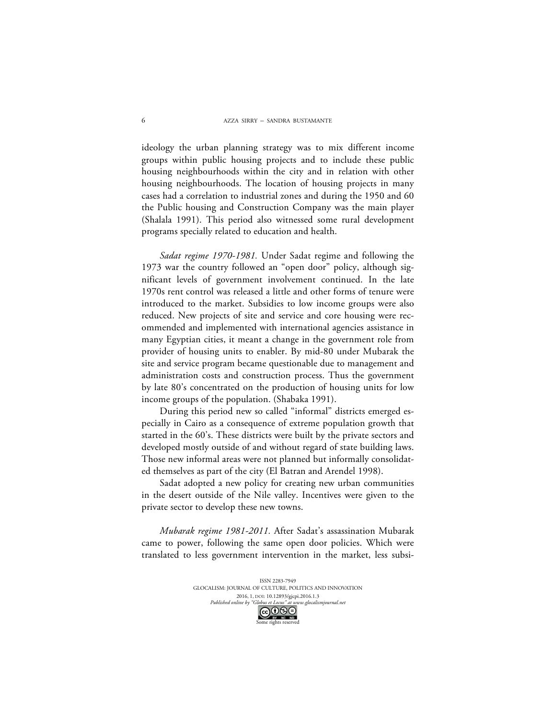ideology the urban planning strategy was to mix different income groups within public housing projects and to include these public housing neighbourhoods within the city and in relation with other housing neighbourhoods. The location of housing projects in many cases had a correlation to industrial zones and during the 1950 and 60 the Public housing and Construction Company was the main player (Shalala 1991). This period also witnessed some rural development programs specially related to education and health.

*Sadat regime 1970-1981.* Under Sadat regime and following the 1973 war the country followed an "open door" policy, although significant levels of government involvement continued. In the late 1970s rent control was released a little and other forms of tenure were introduced to the market. Subsidies to low income groups were also reduced. New projects of site and service and core housing were recommended and implemented with international agencies assistance in many Egyptian cities, it meant a change in the government role from provider of housing units to enabler. By mid-80 under Mubarak the site and service program became questionable due to management and administration costs and construction process. Thus the government by late 80's concentrated on the production of housing units for low income groups of the population. (Shabaka 1991).

During this period new so called "informal" districts emerged especially in Cairo as a consequence of extreme population growth that started in the 60's. These districts were built by the private sectors and developed mostly outside of and without regard of state building laws. Those new informal areas were not planned but informally consolidated themselves as part of the city (El Batran and Arendel 1998).

Sadat adopted a new policy for creating new urban communities in the desert outside of the Nile valley. Incentives were given to the private sector to develop these new towns.

*Mubarak regime 1981-2011.* After Sadat's assassination Mubarak came to power, following the same open door policies. Which were translated to less government intervention in the market, less subsi-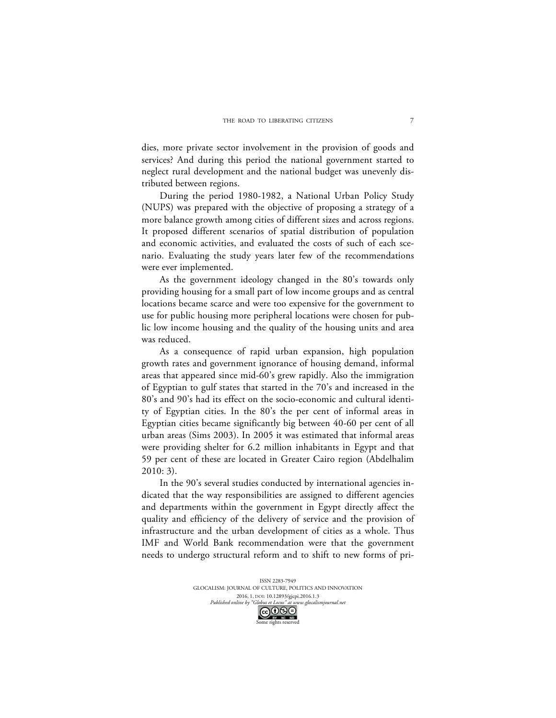dies, more private sector involvement in the provision of goods and services? And during this period the national government started to neglect rural development and the national budget was unevenly distributed between regions.

During the period 1980-1982, a National Urban Policy Study (NUPS) was prepared with the objective of proposing a strategy of a more balance growth among cities of different sizes and across regions. It proposed different scenarios of spatial distribution of population and economic activities, and evaluated the costs of such of each scenario. Evaluating the study years later few of the recommendations were ever implemented.

As the government ideology changed in the 80's towards only providing housing for a small part of low income groups and as central locations became scarce and were too expensive for the government to use for public housing more peripheral locations were chosen for public low income housing and the quality of the housing units and area was reduced.

As a consequence of rapid urban expansion, high population growth rates and government ignorance of housing demand, informal areas that appeared since mid-60's grew rapidly. Also the immigration of Egyptian to gulf states that started in the 70's and increased in the 80's and 90's had its effect on the socio-economic and cultural identity of Egyptian cities. In the 80's the per cent of informal areas in Egyptian cities became significantly big between 40-60 per cent of all urban areas (Sims 2003). In 2005 it was estimated that informal areas were providing shelter for 6.2 million inhabitants in Egypt and that 59 per cent of these are located in Greater Cairo region (Abdelhalim 2010: 3).

In the 90's several studies conducted by international agencies indicated that the way responsibilities are assigned to different agencies and departments within the government in Egypt directly affect the quality and efficiency of the delivery of service and the provision of infrastructure and the urban development of cities as a whole. Thus IMF and World Bank recommendation were that the government needs to undergo structural reform and to shift to new forms of pri-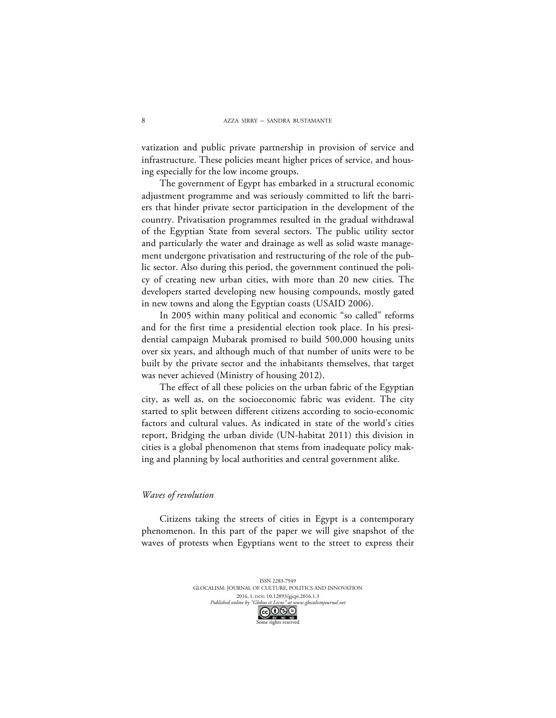vatization and public private partnership in provision of service and infrastructure. These policies meant higher prices of service, and housing especially for the low income groups.

The government of Egypt has embarked in a structural economic adjustment programme and was seriously committed to lift the barriers that hinder private sector participation in the development of the country. Privatisation programmes resulted in the gradual withdrawal of the Egyptian State from several sectors. The public utility sector and particularly the water and drainage as well as solid waste management undergone privatisation and restructuring of the role of the public sector. Also during this period, the government continued the policy of creating new urban cities, with more than 20 new cities. The developers started developing new housing compounds, mostly gated in new towns and along the Egyptian coasts (USAID 2006).

In 2005 within many political and economic "so called" reforms and for the first time a presidential election took place. In his presidential campaign Mubarak promised to build 500,000 housing units over six years, and although much of that number of units were to be built by the private sector and the inhabitants themselves, that target was never achieved (Ministry of housing 2012).

The effect of all these policies on the urban fabric of the Egyptian city, as well as, on the socioeconomic fabric was evident. The city started to split between different citizens according to socio-economic factors and cultural values. As indicated in state of the world's cities report, Bridging the urban divide (UN-habitat 2011) this division in cities is a global phenomenon that stems from inadequate policy making and planning by local authorities and central government alike.

#### *Waves of revolution*

Citizens taking the streets of cities in Egypt is a contemporary phenomenon. In this part of the paper we will give snapshot of the waves of protests when Egyptians went to the street to express their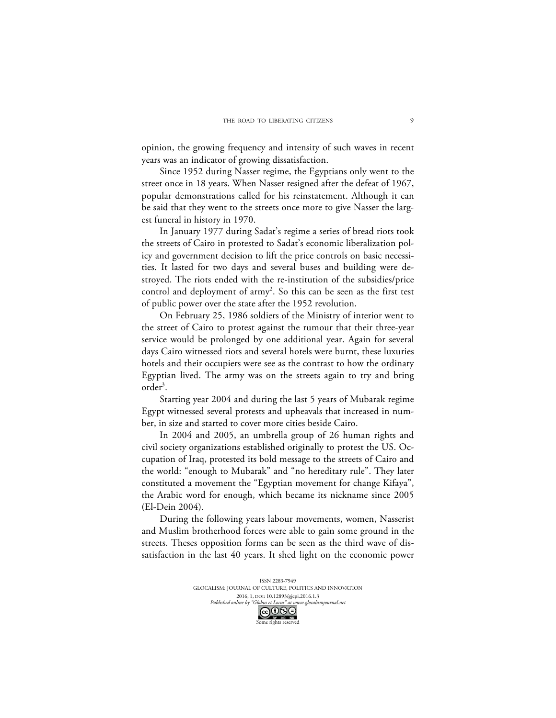opinion, the growing frequency and intensity of such waves in recent years was an indicator of growing dissatisfaction.

Since 1952 during Nasser regime, the Egyptians only went to the street once in 18 years. When Nasser resigned after the defeat of 1967, popular demonstrations called for his reinstatement. Although it can be said that they went to the streets once more to give Nasser the largest funeral in history in 1970.

In January 1977 during Sadat's regime a series of bread riots took the streets of Cairo in protested to Sadat's economic liberalization policy and government decision to lift the price controls on basic necessities. It lasted for two days and several buses and building were destroyed. The riots ended with the re-institution of the subsidies/price control and deployment of army<sup>2</sup>. So this can be seen as the first test of public power over the state after the 1952 revolution.

On February 25, 1986 soldiers of the Ministry of interior went to the street of Cairo to protest against the rumour that their three-year service would be prolonged by one additional year. Again for several days Cairo witnessed riots and several hotels were burnt, these luxuries hotels and their occupiers were see as the contrast to how the ordinary Egyptian lived. The army was on the streets again to try and bring order<sup>3</sup>.

Starting year 2004 and during the last 5 years of Mubarak regime Egypt witnessed several protests and upheavals that increased in number, in size and started to cover more cities beside Cairo.

In 2004 and 2005, an umbrella group of 26 human rights and civil society organizations established originally to protest the US. Occupation of Iraq, protested its bold message to the streets of Cairo and the world: "enough to Mubarak" and "no hereditary rule". They later constituted a movement the "Egyptian movement for change Kifaya", the Arabic word for enough, which became its nickname since 2005 (El-Dein 2004).

During the following years labour movements, women, Nasserist and Muslim brotherhood forces were able to gain some ground in the streets. Theses opposition forms can be seen as the third wave of dissatisfaction in the last 40 years. It shed light on the economic power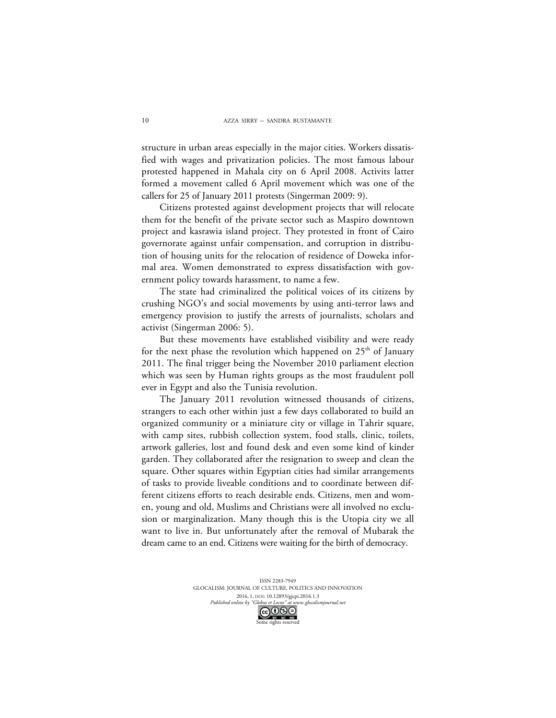structure in urban areas especially in the major cities. Workers dissatisfied with wages and privatization policies. The most famous labour protested happened in Mahala city on 6 April 2008. Activits latter formed a movement called 6 April movement which was one of the callers for 25 of January 2011 protests (Singerman 2009: 9).

Citizens protested against development projects that will relocate them for the benefit of the private sector such as Maspiro downtown project and kasrawia island project. They protested in front of Cairo governorate against unfair compensation, and corruption in distribution of housing units for the relocation of residence of Doweka informal area. Women demonstrated to express dissatisfaction with government policy towards harassment, to name a few.

The state had criminalized the political voices of its citizens by crushing NGO's and social movements by using anti-terror laws and emergency provision to justify the arrests of journalists, scholars and activist (Singerman 2006: 5).

But these movements have established visibility and were ready for the next phase the revolution which happened on  $25<sup>th</sup>$  of January 2011. The final trigger being the November 2010 parliament election which was seen by Human rights groups as the most fraudulent poll ever in Egypt and also the Tunisia revolution.

The January 2011 revolution witnessed thousands of citizens, strangers to each other within just a few days collaborated to build an organized community or a miniature city or village in Tahrir square, with camp sites, rubbish collection system, food stalls, clinic, toilets, artwork galleries, lost and found desk and even some kind of kinder garden. They collaborated after the resignation to sweep and clean the square. Other squares within Egyptian cities had similar arrangements of tasks to provide liveable conditions and to coordinate between different citizens efforts to reach desirable ends. Citizens, men and women, young and old, Muslims and Christians were all involved no exclusion or marginalization. Many though this is the Utopia city we all want to live in. But unfortunately after the removal of Mubarak the dream came to an end. Citizens were waiting for the birth of democracy.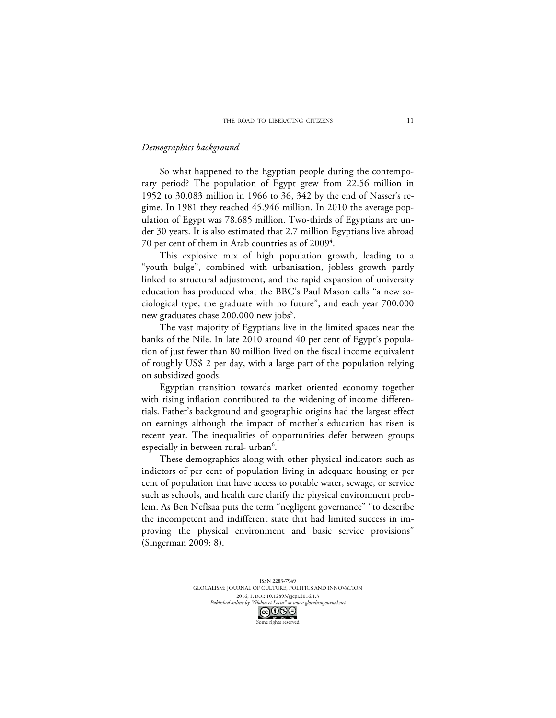## *Demographics background*

So what happened to the Egyptian people during the contemporary period? The population of Egypt grew from 22.56 million in 1952 to 30.083 million in 1966 to 36, 342 by the end of Nasser's regime. In 1981 they reached 45.946 million. In 2010 the average population of Egypt was 78.685 million. Two-thirds of Egyptians are under 30 years. It is also estimated that 2.7 million Egyptians live abroad 70 per cent of them in Arab countries as of 2009 $^4\!.$ 

This explosive mix of high population growth, leading to a "youth bulge", combined with urbanisation, jobless growth partly linked to structural adjustment, and the rapid expansion of university education has produced what the BBC's Paul Mason calls "a new sociological type, the graduate with no future", and each year 700,000 new graduates chase  $200,000$  new jobs<sup>5</sup>.

The vast majority of Egyptians live in the limited spaces near the banks of the Nile. In late 2010 around 40 per cent of Egypt's population of just fewer than 80 million lived on the fiscal income equivalent of roughly US\$ 2 per day, with a large part of the population relying on subsidized goods.

Egyptian transition towards market oriented economy together with rising inflation contributed to the widening of income differentials. Father's background and geographic origins had the largest effect on earnings although the impact of mother's education has risen is recent year. The inequalities of opportunities defer between groups especially in between rural- urban $^6$ .

These demographics along with other physical indicators such as indictors of per cent of population living in adequate housing or per cent of population that have access to potable water, sewage, or service such as schools, and health care clarify the physical environment problem. As Ben Nefisaa puts the term "negligent governance" "to describe the incompetent and indifferent state that had limited success in improving the physical environment and basic service provisions" (Singerman 2009: 8).

> ISSN 2283-7949 GLOCALISM: JOURNAL OF CULTURE, POLITICS AND INNOVATION 2016, 1, DOI: 10.12893/gjcpi.2016.1.3<br>nline by "Globus et Locus" at www.glocalismjournal.ne. *Published online by "Globus et Locus" at w*<br>Googlobus my wear we me rights reserved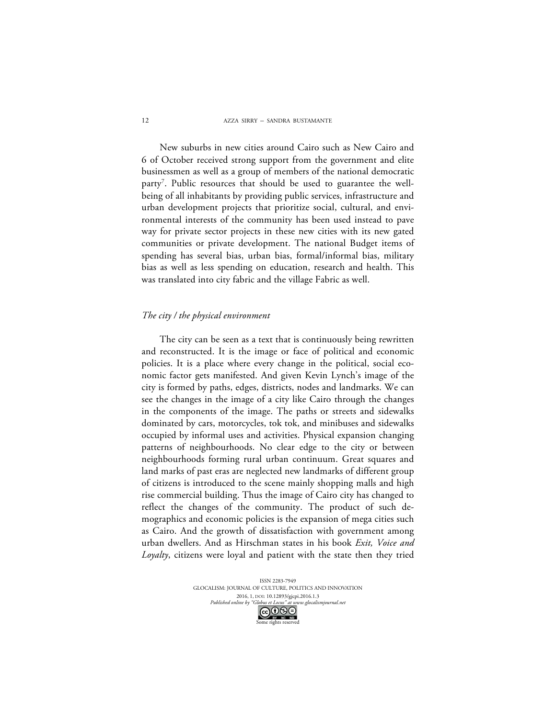New suburbs in new cities around Cairo such as New Cairo and 6 of October received strong support from the government and elite businessmen as well as a group of members of the national democratic party<sup>7</sup>. Public resources that should be used to guarantee the wellbeing of all inhabitants by providing public services, infrastructure and urban development projects that prioritize social, cultural, and environmental interests of the community has been used instead to pave way for private sector projects in these new cities with its new gated communities or private development. The national Budget items of spending has several bias, urban bias, formal/informal bias, military bias as well as less spending on education, research and health. This was translated into city fabric and the village Fabric as well.

#### *The city / the physical environment*

The city can be seen as a text that is continuously being rewritten and reconstructed. It is the image or face of political and economic policies. It is a place where every change in the political, social economic factor gets manifested. And given Kevin Lynch's image of the city is formed by paths, edges, districts, nodes and landmarks. We can see the changes in the image of a city like Cairo through the changes in the components of the image. The paths or streets and sidewalks dominated by cars, motorcycles, tok tok, and minibuses and sidewalks occupied by informal uses and activities. Physical expansion changing patterns of neighbourhoods. No clear edge to the city or between neighbourhoods forming rural urban continuum. Great squares and land marks of past eras are neglected new landmarks of different group of citizens is introduced to the scene mainly shopping malls and high rise commercial building. Thus the image of Cairo city has changed to reflect the changes of the community. The product of such demographics and economic policies is the expansion of mega cities such as Cairo. And the growth of dissatisfaction with government among urban dwellers. And as Hirschman states in his book *Exit, Voice and Loyalty*, citizens were loyal and patient with the state then they tried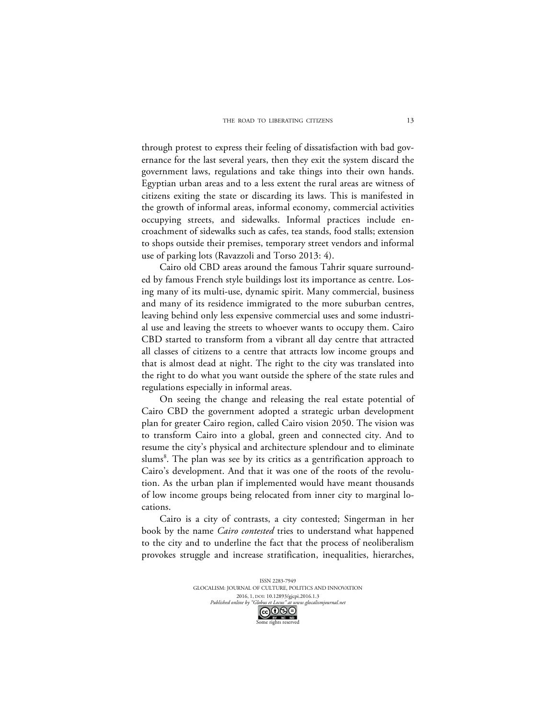through protest to express their feeling of dissatisfaction with bad governance for the last several years, then they exit the system discard the government laws, regulations and take things into their own hands. Egyptian urban areas and to a less extent the rural areas are witness of citizens exiting the state or discarding its laws. This is manifested in the growth of informal areas, informal economy, commercial activities occupying streets, and sidewalks. Informal practices include encroachment of sidewalks such as cafes, tea stands, food stalls; extension to shops outside their premises, temporary street vendors and informal use of parking lots (Ravazzoli and Torso 2013: 4).

Cairo old CBD areas around the famous Tahrir square surrounded by famous French style buildings lost its importance as centre. Losing many of its multi-use, dynamic spirit. Many commercial, business and many of its residence immigrated to the more suburban centres, leaving behind only less expensive commercial uses and some industrial use and leaving the streets to whoever wants to occupy them. Cairo CBD started to transform from a vibrant all day centre that attracted all classes of citizens to a centre that attracts low income groups and that is almost dead at night. The right to the city was translated into the right to do what you want outside the sphere of the state rules and regulations especially in informal areas.

On seeing the change and releasing the real estate potential of Cairo CBD the government adopted a strategic urban development plan for greater Cairo region, called Cairo vision 2050. The vision was to transform Cairo into a global, green and connected city. And to resume the city's physical and architecture splendour and to eliminate slums<sup>8</sup>. The plan was see by its critics as a gentrification approach to Cairo's development. And that it was one of the roots of the revolution. As the urban plan if implemented would have meant thousands of low income groups being relocated from inner city to marginal locations.

Cairo is a city of contrasts, a city contested; Singerman in her book by the name *Cairo contested* tries to understand what happened to the city and to underline the fact that the process of neoliberalism provokes struggle and increase stratification, inequalities, hierarches,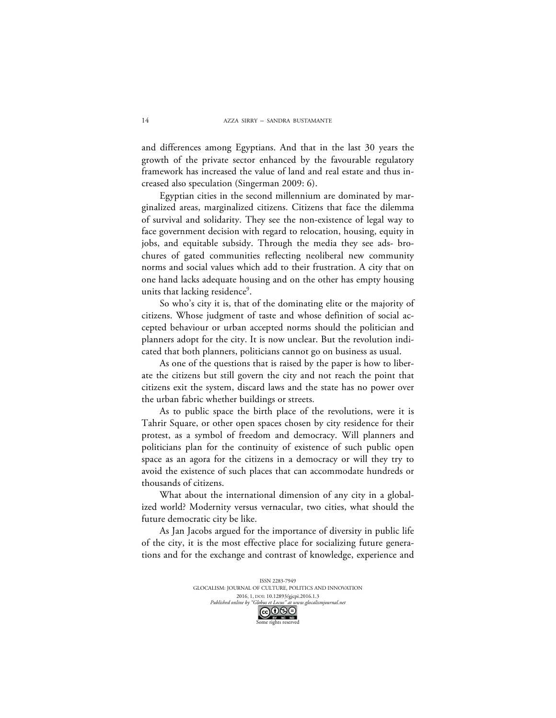and differences among Egyptians. And that in the last 30 years the growth of the private sector enhanced by the favourable regulatory framework has increased the value of land and real estate and thus increased also speculation (Singerman 2009: 6).

Egyptian cities in the second millennium are dominated by marginalized areas, marginalized citizens. Citizens that face the dilemma of survival and solidarity. They see the non-existence of legal way to face government decision with regard to relocation, housing, equity in jobs, and equitable subsidy. Through the media they see ads- brochures of gated communities reflecting neoliberal new community norms and social values which add to their frustration. A city that on one hand lacks adequate housing and on the other has empty housing units that lacking residence<sup>9</sup>.

So who's city it is, that of the dominating elite or the majority of citizens. Whose judgment of taste and whose definition of social accepted behaviour or urban accepted norms should the politician and planners adopt for the city. It is now unclear. But the revolution indicated that both planners, politicians cannot go on business as usual.

As one of the questions that is raised by the paper is how to liberate the citizens but still govern the city and not reach the point that citizens exit the system, discard laws and the state has no power over the urban fabric whether buildings or streets.

As to public space the birth place of the revolutions, were it is Tahrir Square, or other open spaces chosen by city residence for their protest, as a symbol of freedom and democracy. Will planners and politicians plan for the continuity of existence of such public open space as an agora for the citizens in a democracy or will they try to avoid the existence of such places that can accommodate hundreds or thousands of citizens.

What about the international dimension of any city in a globalized world? Modernity versus vernacular, two cities, what should the future democratic city be like.

As Jan Jacobs argued for the importance of diversity in public life of the city, it is the most effective place for socializing future generations and for the exchange and contrast of knowledge, experience and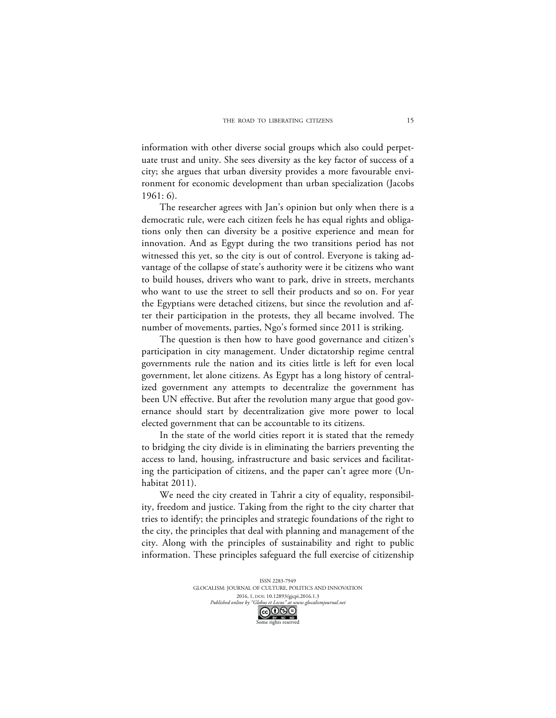information with other diverse social groups which also could perpetuate trust and unity. She sees diversity as the key factor of success of a city; she argues that urban diversity provides a more favourable environment for economic development than urban specialization (Jacobs 1961: 6).

The researcher agrees with Jan's opinion but only when there is a democratic rule, were each citizen feels he has equal rights and obligations only then can diversity be a positive experience and mean for innovation. And as Egypt during the two transitions period has not witnessed this yet, so the city is out of control. Everyone is taking advantage of the collapse of state's authority were it be citizens who want to build houses, drivers who want to park, drive in streets, merchants who want to use the street to sell their products and so on. For year the Egyptians were detached citizens, but since the revolution and after their participation in the protests, they all became involved. The number of movements, parties, Ngo's formed since 2011 is striking.

The question is then how to have good governance and citizen's participation in city management. Under dictatorship regime central governments rule the nation and its cities little is left for even local government, let alone citizens. As Egypt has a long history of centralized government any attempts to decentralize the government has been UN effective. But after the revolution many argue that good governance should start by decentralization give more power to local elected government that can be accountable to its citizens.

In the state of the world cities report it is stated that the remedy to bridging the city divide is in eliminating the barriers preventing the access to land, housing, infrastructure and basic services and facilitating the participation of citizens, and the paper can't agree more (Unhabitat 2011).

We need the city created in Tahrir a city of equality, responsibility, freedom and justice. Taking from the right to the city charter that tries to identify; the principles and strategic foundations of the right to the city, the principles that deal with planning and management of the city. Along with the principles of sustainability and right to public information. These principles safeguard the full exercise of citizenship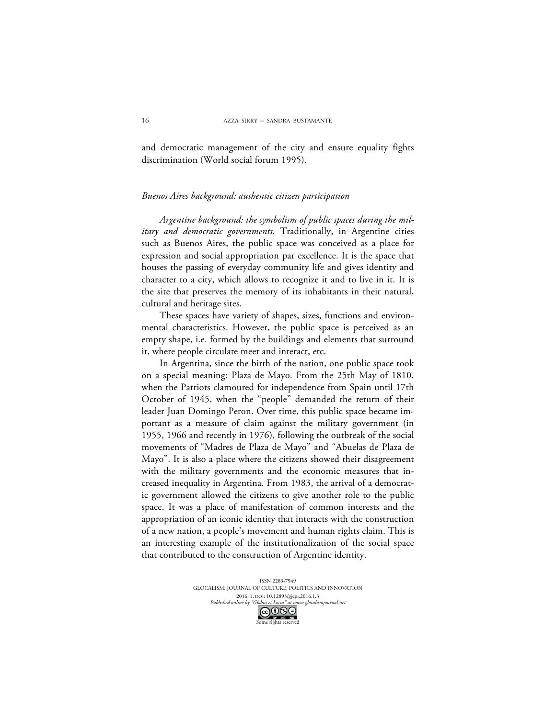and democratic management of the city and ensure equality fights discrimination (World social forum 1995).

## *Buenos Aires background: authentic citizen participation*

*Argentine background: the symbolism of public spaces during the military and democratic governments.* Traditionally, in Argentine cities such as Buenos Aires, the public space was conceived as a place for expression and social appropriation par excellence. It is the space that houses the passing of everyday community life and gives identity and character to a city, which allows to recognize it and to live in it. It is the site that preserves the memory of its inhabitants in their natural, cultural and heritage sites.

These spaces have variety of shapes, sizes, functions and environmental characteristics. However, the public space is perceived as an empty shape, i.e. formed by the buildings and elements that surround it, where people circulate meet and interact, etc.

In Argentina, since the birth of the nation, one public space took on a special meaning: Plaza de Mayo. From the 25th May of 1810, when the Patriots clamoured for independence from Spain until 17th October of 1945, when the "people" demanded the return of their leader Juan Domingo Peron. Over time, this public space became important as a measure of claim against the military government (in 1955, 1966 and recently in 1976), following the outbreak of the social movements of "Madres de Plaza de Mayo" and "Abuelas de Plaza de Mayo". It is also a place where the citizens showed their disagreement with the military governments and the economic measures that increased inequality in Argentina. From 1983, the arrival of a democratic government allowed the citizens to give another role to the public space. It was a place of manifestation of common interests and the appropriation of an iconic identity that interacts with the construction of a new nation, a people's movement and human rights claim. This is an interesting example of the institutionalization of the social space that contributed to the construction of Argentine identity.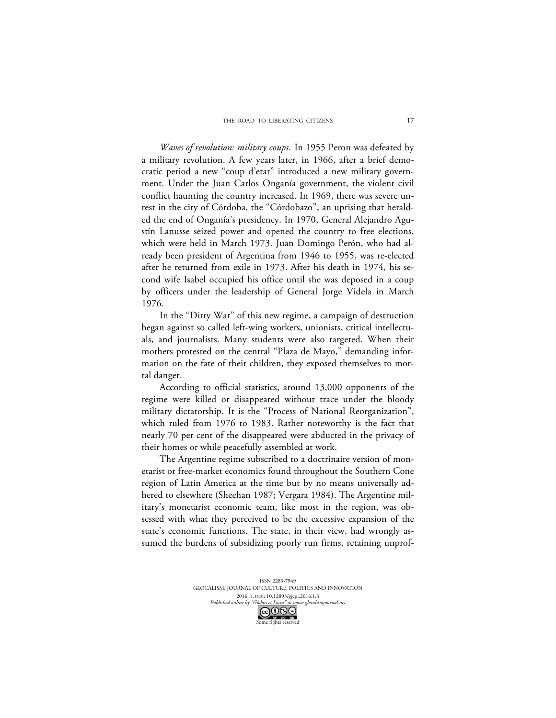*Waves of revolution: military coups.* In 1955 Peron was defeated by a military revolution. A few years later, in 1966, after a brief democratic period a new "coup d'etat" introduced a new military government. Under the Juan Carlos Onganía government, the violent civil conflict haunting the country increased. In 1969, there was severe unrest in the city of Córdoba, the "Córdobazo", an uprising that heralded the end of Onganía's presidency. In 1970, General Alejandro Agustín Lanusse seized power and opened the country to free elections, which were held in March 1973. Juan Domingo Perón, who had already been president of Argentina from 1946 to 1955, was re-elected after he returned from exile in 1973. After his death in 1974, his second wife Isabel occupied his office until she was deposed in a coup by officers under the leadership of General Jorge Videla in March 1976.

In the "Dirty War" of this new regime, a campaign of destruction began against so called left-wing workers, unionists, critical intellectuals, and journalists. Many students were also targeted. When their mothers protested on the central "Plaza de Mayo," demanding information on the fate of their children, they exposed themselves to mortal danger.

According to official statistics, around 13,000 opponents of the regime were killed or disappeared without trace under the bloody military dictatorship. It is the "Process of National Reorganization", which ruled from 1976 to 1983. Rather noteworthy is the fact that nearly 70 per cent of the disappeared were abducted in the privacy of their homes or while peacefully assembled at work.

The Argentine regime subscribed to a doctrinaire version of monetarist or free-market economics found throughout the Southern Cone region of Latin America at the time but by no means universally adhered to elsewhere (Sheehan 1987; Vergara 1984). The Argentine military's monetarist economic team, like most in the region, was obsessed with what they perceived to be the excessive expansion of the state's economic functions. The state, in their view, had wrongly assumed the burdens of subsidizing poorly run firms, retaining unprof-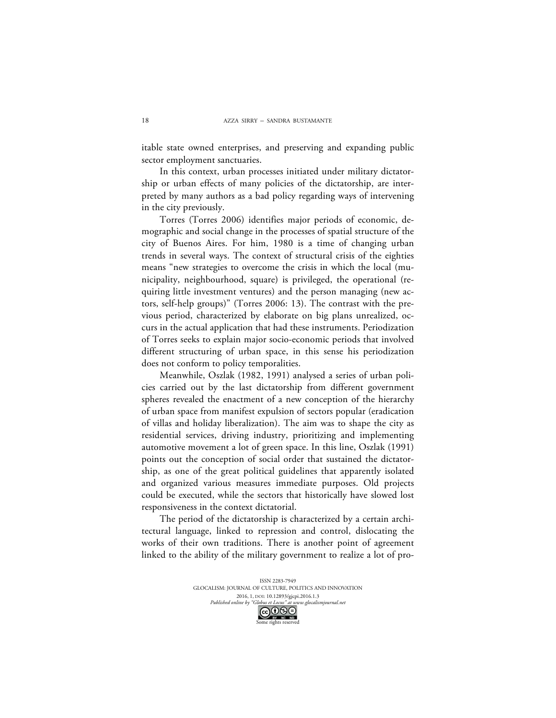itable state owned enterprises, and preserving and expanding public sector employment sanctuaries.

In this context, urban processes initiated under military dictatorship or urban effects of many policies of the dictatorship, are interpreted by many authors as a bad policy regarding ways of intervening in the city previously.

Torres (Torres 2006) identifies major periods of economic, demographic and social change in the processes of spatial structure of the city of Buenos Aires. For him, 1980 is a time of changing urban trends in several ways. The context of structural crisis of the eighties means "new strategies to overcome the crisis in which the local (municipality, neighbourhood, square) is privileged, the operational (requiring little investment ventures) and the person managing (new actors, self-help groups)" (Torres 2006: 13). The contrast with the previous period, characterized by elaborate on big plans unrealized, occurs in the actual application that had these instruments. Periodization of Torres seeks to explain major socio-economic periods that involved different structuring of urban space, in this sense his periodization does not conform to policy temporalities.

Meanwhile, Oszlak (1982, 1991) analysed a series of urban policies carried out by the last dictatorship from different government spheres revealed the enactment of a new conception of the hierarchy of urban space from manifest expulsion of sectors popular (eradication of villas and holiday liberalization). The aim was to shape the city as residential services, driving industry, prioritizing and implementing automotive movement a lot of green space. In this line, Oszlak (1991) points out the conception of social order that sustained the dictatorship, as one of the great political guidelines that apparently isolated and organized various measures immediate purposes. Old projects could be executed, while the sectors that historically have slowed lost responsiveness in the context dictatorial.

The period of the dictatorship is characterized by a certain architectural language, linked to repression and control, dislocating the works of their own traditions. There is another point of agreement linked to the ability of the military government to realize a lot of pro-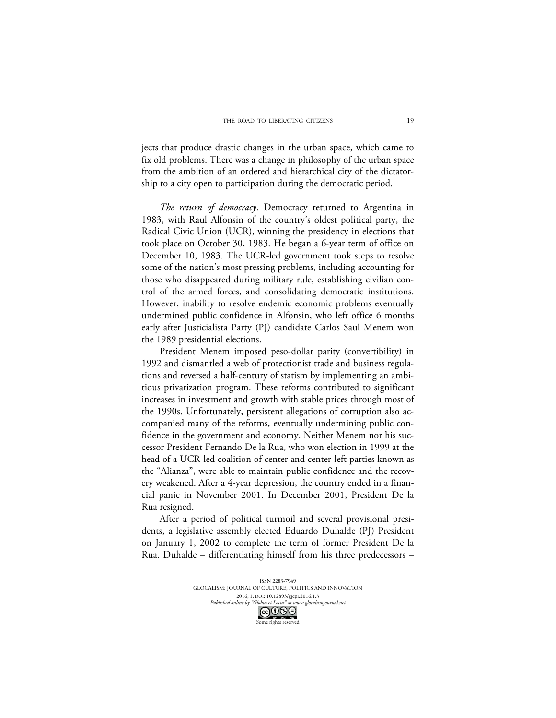jects that produce drastic changes in the urban space, which came to fix old problems. There was a change in philosophy of the urban space from the ambition of an ordered and hierarchical city of the dictatorship to a city open to participation during the democratic period.

*The return of democracy*. Democracy returned to Argentina in 1983, with Raul Alfonsin of the country's oldest political party, the Radical Civic Union (UCR), winning the presidency in elections that took place on October 30, 1983. He began a 6-year term of office on December 10, 1983. The UCR-led government took steps to resolve some of the nation's most pressing problems, including accounting for those who disappeared during military rule, establishing civilian control of the armed forces, and consolidating democratic institutions. However, inability to resolve endemic economic problems eventually undermined public confidence in Alfonsin, who left office 6 months early after Justicialista Party (PJ) candidate Carlos Saul Menem won the 1989 presidential elections.

President Menem imposed peso-dollar parity (convertibility) in 1992 and dismantled a web of protectionist trade and business regulations and reversed a half-century of statism by implementing an ambitious privatization program. These reforms contributed to significant increases in investment and growth with stable prices through most of the 1990s. Unfortunately, persistent allegations of corruption also accompanied many of the reforms, eventually undermining public confidence in the government and economy. Neither Menem nor his successor President Fernando De la Rua, who won election in 1999 at the head of a UCR-led coalition of center and center-left parties known as the "Alianza", were able to maintain public confidence and the recovery weakened. After a 4-year depression, the country ended in a financial panic in November 2001. In December 2001, President De la Rua resigned.

After a period of political turmoil and several provisional presidents, a legislative assembly elected Eduardo Duhalde (PJ) President on January 1, 2002 to complete the term of former President De la Rua. Duhalde – differentiating himself from his three predecessors –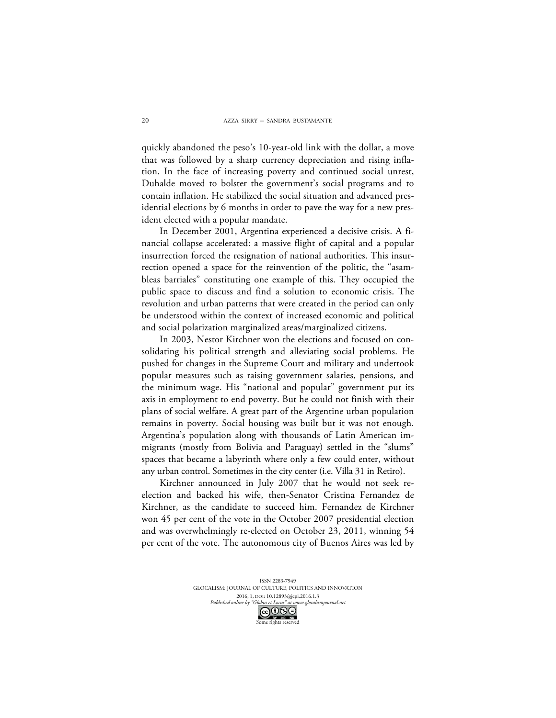quickly abandoned the peso's 10-year-old link with the dollar, a move that was followed by a sharp currency depreciation and rising inflation. In the face of increasing poverty and continued social unrest, Duhalde moved to bolster the government's social programs and to contain inflation. He stabilized the social situation and advanced presidential elections by 6 months in order to pave the way for a new president elected with a popular mandate.

In December 2001, Argentina experienced a decisive crisis. A financial collapse accelerated: a massive flight of capital and a popular insurrection forced the resignation of national authorities. This insurrection opened a space for the reinvention of the politic, the "asambleas barriales" constituting one example of this. They occupied the public space to discuss and find a solution to economic crisis. The revolution and urban patterns that were created in the period can only be understood within the context of increased economic and political and social polarization marginalized areas/marginalized citizens.

In 2003, Nestor Kirchner won the elections and focused on consolidating his political strength and alleviating social problems. He pushed for changes in the Supreme Court and military and undertook popular measures such as raising government salaries, pensions, and the minimum wage. His "national and popular" government put its axis in employment to end poverty. But he could not finish with their plans of social welfare. A great part of the Argentine urban population remains in poverty. Social housing was built but it was not enough. Argentina's population along with thousands of Latin American immigrants (mostly from Bolivia and Paraguay) settled in the "slums" spaces that became a labyrinth where only a few could enter, without any urban control. Sometimes in the city center (i.e. Villa 31 in Retiro).

Kirchner announced in July 2007 that he would not seek reelection and backed his wife, then-Senator Cristina Fernandez de Kirchner, as the candidate to succeed him. Fernandez de Kirchner won 45 per cent of the vote in the October 2007 presidential election and was overwhelmingly re-elected on October 23, 2011, winning 54 per cent of the vote. The autonomous city of Buenos Aires was led by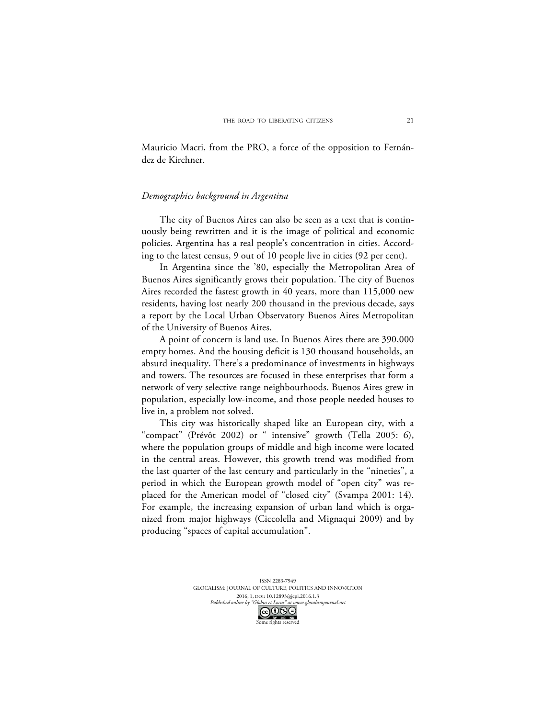Mauricio Macri, from the PRO, a force of the opposition to Fernández de Kirchner.

#### *Demographics background in Argentina*

The city of Buenos Aires can also be seen as a text that is continuously being rewritten and it is the image of political and economic policies. Argentina has a real people's concentration in cities. According to the latest census, 9 out of 10 people live in cities (92 per cent).

In Argentina since the '80, especially the Metropolitan Area of Buenos Aires significantly grows their population. The city of Buenos Aires recorded the fastest growth in 40 years, more than 115,000 new residents, having lost nearly 200 thousand in the previous decade, says a report by the Local Urban Observatory Buenos Aires Metropolitan of the University of Buenos Aires.

A point of concern is land use. In Buenos Aires there are 390,000 empty homes. And the housing deficit is 130 thousand households, an absurd inequality. There's a predominance of investments in highways and towers. The resources are focused in these enterprises that form a network of very selective range neighbourhoods. Buenos Aires grew in population, especially low-income, and those people needed houses to live in, a problem not solved.

This city was historically shaped like an European city, with a "compact" (Prévôt 2002) or " intensive" growth (Tella 2005: 6), where the population groups of middle and high income were located in the central areas. However, this growth trend was modified from the last quarter of the last century and particularly in the "nineties", a period in which the European growth model of "open city" was replaced for the American model of "closed city" (Svampa 2001: 14). For example, the increasing expansion of urban land which is organized from major highways (Ciccolella and Mignaqui 2009) and by producing "spaces of capital accumulation".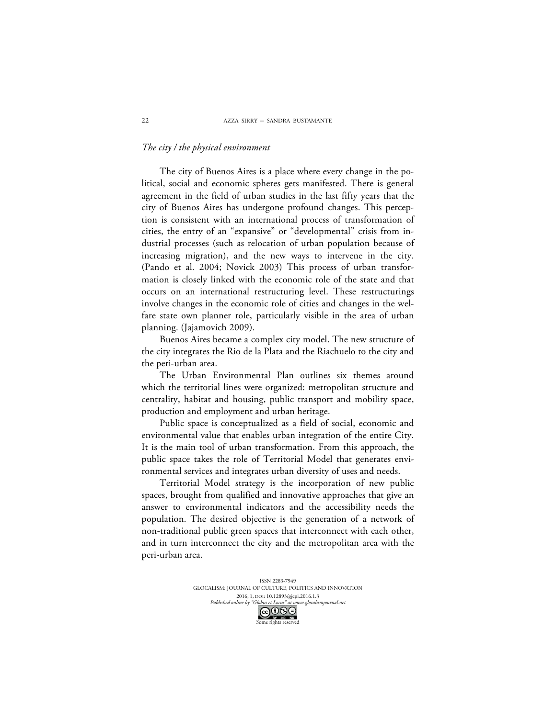# *The city / the physical environment*

The city of Buenos Aires is a place where every change in the political, social and economic spheres gets manifested. There is general agreement in the field of urban studies in the last fifty years that the city of Buenos Aires has undergone profound changes. This perception is consistent with an international process of transformation of cities, the entry of an "expansive" or "developmental" crisis from industrial processes (such as relocation of urban population because of increasing migration), and the new ways to intervene in the city. (Pando et al. 2004; Novick 2003) This process of urban transformation is closely linked with the economic role of the state and that occurs on an international restructuring level. These restructurings involve changes in the economic role of cities and changes in the welfare state own planner role, particularly visible in the area of urban planning. (Jajamovich 2009).

Buenos Aires became a complex city model. The new structure of the city integrates the Rio de la Plata and the Riachuelo to the city and the peri-urban area.

The Urban Environmental Plan outlines six themes around which the territorial lines were organized: metropolitan structure and centrality, habitat and housing, public transport and mobility space, production and employment and urban heritage.

Public space is conceptualized as a field of social, economic and environmental value that enables urban integration of the entire City. It is the main tool of urban transformation. From this approach, the public space takes the role of Territorial Model that generates environmental services and integrates urban diversity of uses and needs.

Territorial Model strategy is the incorporation of new public spaces, brought from qualified and innovative approaches that give an answer to environmental indicators and the accessibility needs the population. The desired objective is the generation of a network of non-traditional public green spaces that interconnect with each other, and in turn interconnect the city and the metropolitan area with the peri-urban area.

> ISSN 2283-7949 GLOCALISM: JOURNAL OF CULTURE, POLITICS AND INNOVATION 2016, 1, DOI: 10.12893/gjcpi.2016.1.3<br>nline by "Globus et Locus" at www.glocalismjournal.ne. Published online by "Globus et Locus" COOSE

22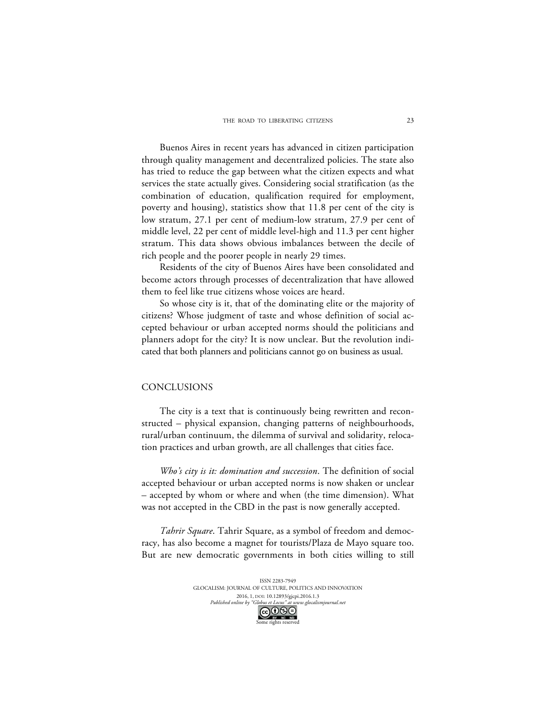Buenos Aires in recent years has advanced in citizen participation through quality management and decentralized policies. The state also has tried to reduce the gap between what the citizen expects and what services the state actually gives. Considering social stratification (as the combination of education, qualification required for employment, poverty and housing), statistics show that 11.8 per cent of the city is low stratum, 27.1 per cent of medium-low stratum, 27.9 per cent of middle level, 22 per cent of middle level-high and 11.3 per cent higher stratum. This data shows obvious imbalances between the decile of rich people and the poorer people in nearly 29 times.

Residents of the city of Buenos Aires have been consolidated and become actors through processes of decentralization that have allowed them to feel like true citizens whose voices are heard.

So whose city is it, that of the dominating elite or the majority of citizens? Whose judgment of taste and whose definition of social accepted behaviour or urban accepted norms should the politicians and planners adopt for the city? It is now unclear. But the revolution indicated that both planners and politicians cannot go on business as usual.

## CONCLUSIONS

The city is a text that is continuously being rewritten and reconstructed – physical expansion, changing patterns of neighbourhoods, rural/urban continuum, the dilemma of survival and solidarity, relocation practices and urban growth, are all challenges that cities face.

*Who's city is it: domination and succession*. The definition of social accepted behaviour or urban accepted norms is now shaken or unclear – accepted by whom or where and when (the time dimension). What was not accepted in the CBD in the past is now generally accepted.

*Tahrir Square*. Tahrir Square, as a symbol of freedom and democracy, has also become a magnet for tourists/Plaza de Mayo square too. But are new democratic governments in both cities willing to still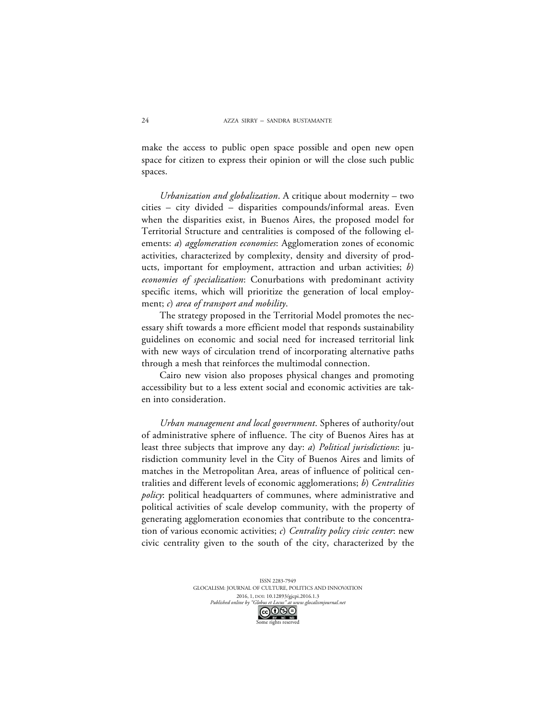make the access to public open space possible and open new open space for citizen to express their opinion or will the close such public spaces.

*Urbanization and globalization*. A critique about modernity – two cities – city divided – disparities compounds/informal areas. Even when the disparities exist, in Buenos Aires, the proposed model for Territorial Structure and centralities is composed of the following elements: *a*) *agglomeration economies*: Agglomeration zones of economic activities, characterized by complexity, density and diversity of products, important for employment, attraction and urban activities; *b*) *economies of specialization*: Conurbations with predominant activity specific items, which will prioritize the generation of local employment; *c*) *area of transport and mobility*.

The strategy proposed in the Territorial Model promotes the necessary shift towards a more efficient model that responds sustainability guidelines on economic and social need for increased territorial link with new ways of circulation trend of incorporating alternative paths through a mesh that reinforces the multimodal connection.

Cairo new vision also proposes physical changes and promoting accessibility but to a less extent social and economic activities are taken into consideration.

*Urban management and local government*. Spheres of authority/out of administrative sphere of influence. The city of Buenos Aires has at least three subjects that improve any day: *a*) *Political jurisdictions*: jurisdiction community level in the City of Buenos Aires and limits of matches in the Metropolitan Area, areas of influence of political centralities and different levels of economic agglomerations; *b*) *Centralities policy*: political headquarters of communes, where administrative and political activities of scale develop community, with the property of generating agglomeration economies that contribute to the concentration of various economic activities; *c*) *Centrality policy civic center*: new civic centrality given to the south of the city, characterized by the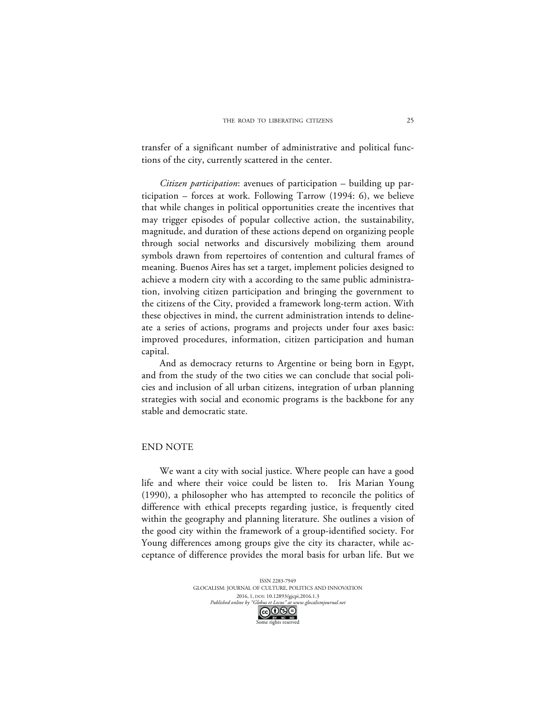transfer of a significant number of administrative and political functions of the city, currently scattered in the center.

*Citizen participation*: avenues of participation – building up participation – forces at work. Following Tarrow (1994: 6), we believe that while changes in political opportunities create the incentives that may trigger episodes of popular collective action, the sustainability, magnitude, and duration of these actions depend on organizing people through social networks and discursively mobilizing them around symbols drawn from repertoires of contention and cultural frames of meaning. Buenos Aires has set a target, implement policies designed to achieve a modern city with a according to the same public administration, involving citizen participation and bringing the government to the citizens of the City, provided a framework long-term action. With these objectives in mind, the current administration intends to delineate a series of actions, programs and projects under four axes basic: improved procedures, information, citizen participation and human capital.

And as democracy returns to Argentine or being born in Egypt, and from the study of the two cities we can conclude that social policies and inclusion of all urban citizens, integration of urban planning strategies with social and economic programs is the backbone for any stable and democratic state.

#### END NOTE

We want a city with social justice. Where people can have a good life and where their voice could be listen to. Iris Marian Young (1990), a philosopher who has attempted to reconcile the politics of difference with ethical precepts regarding justice, is frequently cited within the geography and planning literature. She outlines a vision of the good city within the framework of a group-identified society. For Young differences among groups give the city its character, while acceptance of difference provides the moral basis for urban life. But we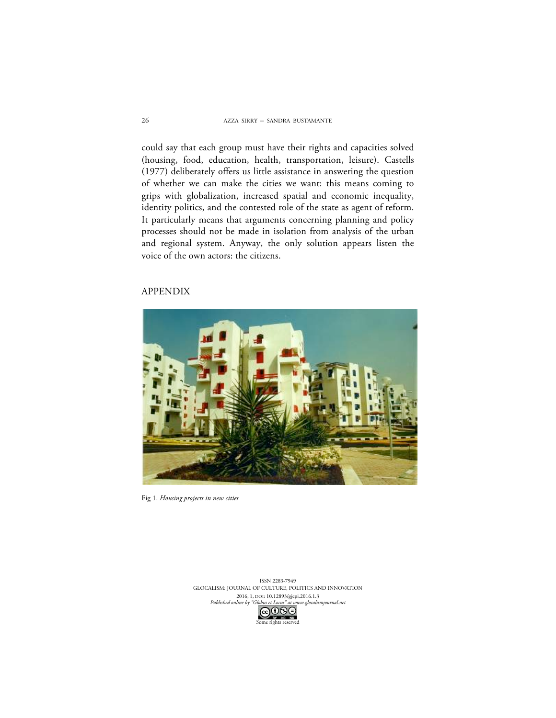could say that each group must have their rights and capacities solved (housing, food, education, health, transportation, leisure). Castells (1977) deliberately offers us little assistance in answering the question of whether we can make the cities we want: this means coming to grips with globalization, increased spatial and economic inequality, identity politics, and the contested role of the state as agent of reform. It particularly means that arguments concerning planning and policy processes should not be made in isolation from analysis of the urban and regional system. Anyway, the only solution appears listen the voice of the own actors: the citizens.

# APPENDIX



Fig 1. *Housing projects in new cities*

ISSN 2283-7949 GLOCALISM: JOURNAL OF CULTURE, POLITICS AND INNOVATION 2016, 1, DOI: 10.12893/gjcpi.2016.1.3<br>nline by "Globus et Locus" at www.glocalismjo. *Published online by "Globus et Locus" at www.glocalismjournal.net*<br>  $\boxed{\mathbb{C}\mathbb{C}\mathbb{O}\mathbb{S}^{\square}}$ e rights reserved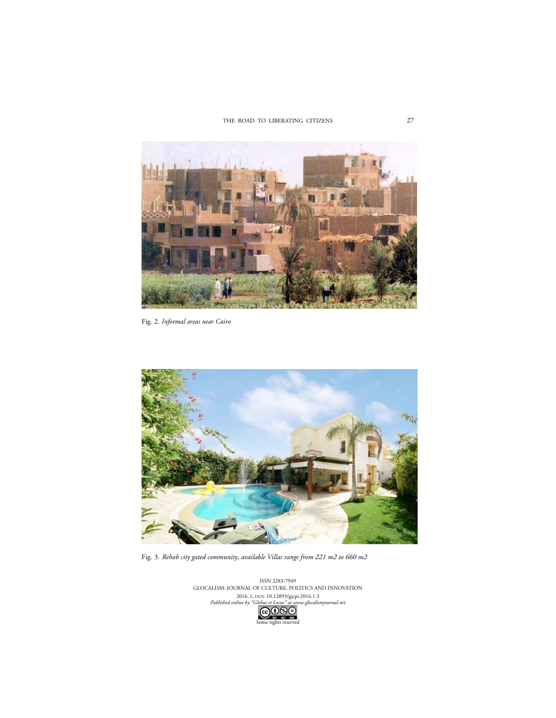THE ROAD TO LIBERATING CITIZENS



Fig. 2. *Informal areas near Cairo*



Fig. 3. *Rehab city gated community, available Villas range from 221 m2 to 660 m2*

ISSN 2283-7949 GLOCALISM: JOURNAL OF CULTURE, POLITICS AND INNOVATION 2016, 1, DOI: 10.12893/gjcpi.2016.1.3 *Published online by "Globus et Locus" at www.glocalismjournal.net* GOSS<br>Some rights reserved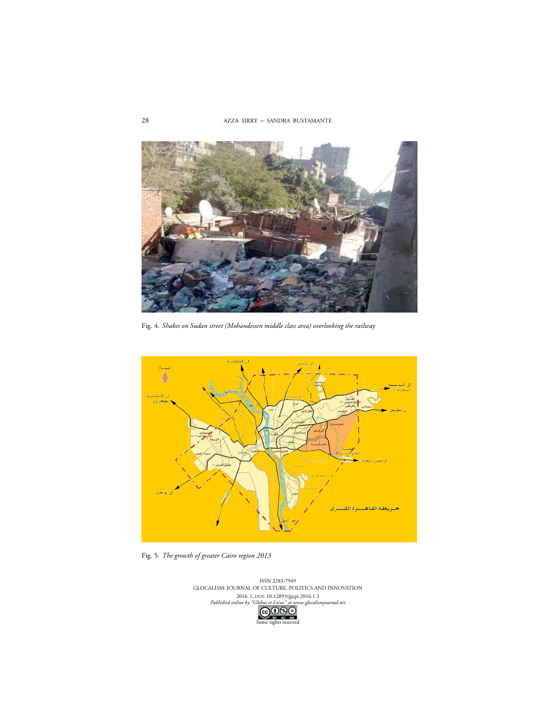AZZA SIRRY – SANDRA BUSTAMANTE



Fig. 4. *Shakes on Sudan street (Mohandessen middle class area) overlooking the railway*



Fig. 5*. The growth of greater Cairo region 2013* 

ISSN 2283-7949 GLOCALISM: JOURNAL OF CULTURE, POLITICS AND INNOVATION 2016, 1, DOI: 10.12893/gjcpi.2016.1.3 *Published online by "Globus et Locus" at www.glocalismjournal.net* GOSO

28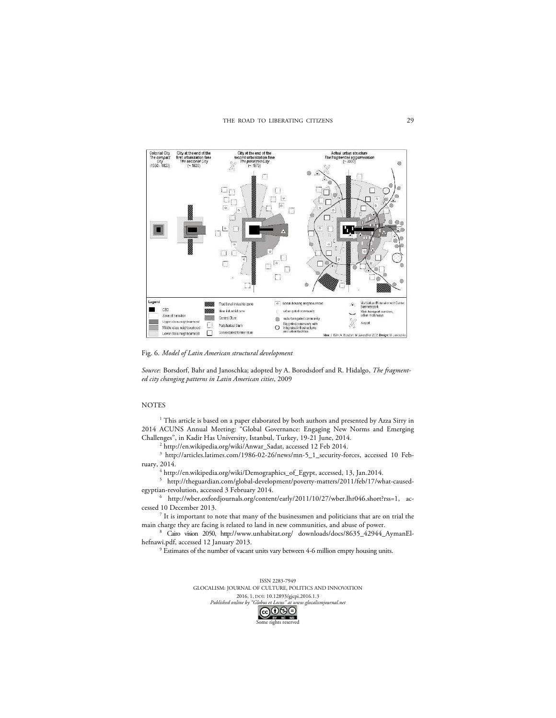

Fig. 6. *Model of Latin American structural development*

*Source*: Borsdorf, Bahr and Janoschka; adopted by A. Borodsdorf and R. Hidalgo, *The fragmented city changing patterns in Latin American cities*, 2009

#### NOTES

<sup>1</sup> This article is based on a paper elaborated by both authors and presented by Azza Sirry in 2014 ACUNS Annual Meeting: "Global Governance: Engaging New Norms and Emerging Challenges", in Kadir Has University, Istanbul, Turkey, 19-21 June, 2014.

<sup>2</sup> http://en.wikipedia.org/wiki/Anwar\_Sadat, accessed 12 Feb 2014.

<sup>3</sup> http://articles.latimes.com/1986-02-26/news/mn-5\_1\_security-forces, accessed 10 February, 2014.

 $^4$ http://en.wikipedia.org/wiki/Demographics\_of\_Egypt, accessed, 13, Jan.2014.

<sup>5</sup> http://theguardian.com/global-development/poverty-matters/2011/feb/17/what-causedegyptian-revolution, accessed 3 February 2014.

<sup>6</sup> http://wber.oxfordjournals.org/content/early/2011/10/27/wber.lhr046.short?rss=1, accessed 10 December 2013.

 $7$  It is important to note that many of the businessmen and politicians that are on trial the main charge they are facing is related to land in new communities, and abuse of power.

<sup>8</sup> Cairo vision 2050, http://www.unhabitat.org/ downloads/docs/8635\_42944\_AymanElhefnawi.pdf, accessed 12 January 2013.

<sup>9</sup> Estimates of the number of vacant units vary between 4-6 million empty housing units.

ISSN 2283-7949 GLOCALISM: JOURNAL OF CULTURE, POLITICS AND INNOVATION 2016, 1, DOI: 10.12893/gjcpi.2016.1.3<br>aline by "Globus et Locus" at www.glocalism *Published online by "Globus et Locus" at www.glocalismjournal.net* EV KC ND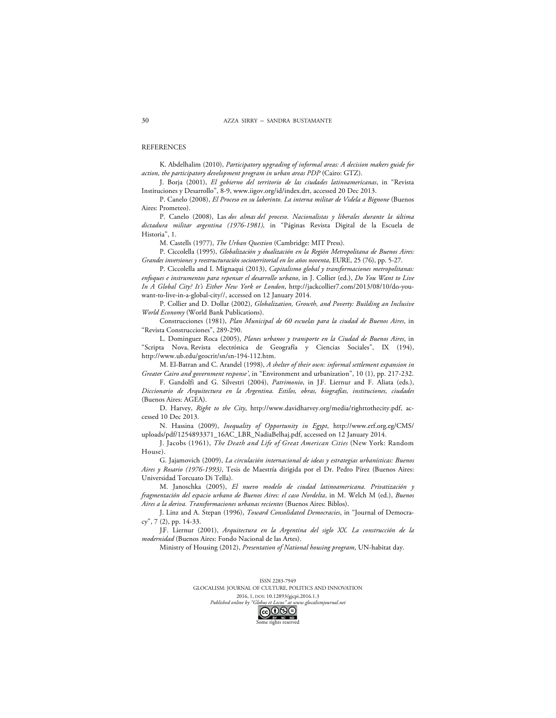#### **REFERENCES**

K. Abdelhalim (2010), *Participatory upgrading of informal areas: A decision makers guide for action, the participatory development program in urban areas PDP* (Cairo: GTZ).

J. Borja (2001), *El gobierno del territorio de las ciudades latinoamericanas*, in "Revista Instituciones y Desarrollo", 8-9, www.iigov.org/id/index.drt, accessed 20 Dec 2013.

P. Canelo (2008), *El Proceso en su laberinto. La interna militar de Videla a Bignone* (Buenos Aires: Prometeo).

P. Canelo (2008), Las *dos almas del proceso. Nacionalistas y liberales durante la última dictadura militar argentina (1976-1981),* in "Páginas Revista Digital de la Escuela de Historia", 1.

M. Castells (1977), *The Urban Question* (Cambridge: MIT Press).

P. Ciccolella (1995), *Globalización y dualización en la Región Metropolitana de Buenos Aires: Grandes inversiones y reestructuración socioterritorial en los años noventa*, EURE, 25 (76), pp. 5-27.

P. Ciccolella and I. Mignaqui (2013), *Capitalismo global y transformaciones metropolitanas: enfoques e instrumentos para repensar el desarrollo urbano*, in J. Collier (ed.), *Do You Want to Live In A Global City? It's Either New York or London*, http://jackcollier7.com/2013/08/10/do-youwant-to-live-in-a-global-city//, accessed on 12 January 2014.

P. Collier and D. Dollar (2002), *Globalization, Growth, and Poverty: Building an Inclusive World Economy* (World Bank Publications).

Construcciones (1981), *Plan Municipal de 60 escuelas para la ciudad de Buenos Aires*, in "Revista Construcciones", 289-290.

L. Dominguez Roca (2005), *Planes urbanos y transporte en la Ciudad de Buenos Aires*, in "Scripta Nova, Revista electrónica de Geografía y Ciencias Sociales", IX (194), http://www.ub.edu/geocrit/sn/sn-194-112.htm.

M. El-Batran and C. Arandel (1998), *A shelter of their own: informal settlement expansion in Greater Cairo and government response'*, in "Environment and urbanization", 10 (1), pp. 217-232.

F. Gandolfi and G. Silvestri (2004), *Patrimonio*, in J.F. Liernur and F. Aliata (eds.), *Diccionario de Arquitectura en la Argentina. Estilos, obras, biografías, instituciones, ciudades* (Buenos Aires: AGEA).

D. Harvey, *Right to the City*, http://www.davidharvey.org/media/righttothecity.pdf, accessed 10 Dec 2013.

N. Hassina (2009), *Inequality of Opportunity in Egypt*, http://www.erf.org.eg/CMS/ uploads/pdf/1254893371\_16AC\_LBR\_NadiaBelhaj.pdf, accessed on 12 January 2014.

J. Jacobs (1961), *The Death and Life of Great American Cities* (New York: Random House).

G. Jajamovich (2009), *La circulación internacional de ideas y estrategias urbanísticas: Buenos Aires y Rosario (1976-1993)*, Tesis de Maestría dirigida por el Dr. Pedro Pírez (Buenos Aires: Universidad Torcuato Di Tella).

M. Janoschka (2005), *El nuevo modelo de ciudad latinoamericana. Privatización y fragmentación del espacio urbano de Buenos Aires: el caso Nordelta*, in M. Welch M (ed.), *Buenos Aires a la deriva. Transformaciones urbanas recientes* (Buenos Aires: Biblos).

J. Linz and A. Stepan (1996), *Toward Consolidated Democracies*, in "Journal of Democracy", 7 (2), pp. 14-33.

J.F. Liernur (2001), *Arquitectura en la Argentina del siglo XX. La construcción de la modernidad* (Buenos Aires: Fondo Nacional de las Artes).

Ministry of Housing (2012), *Presentation of National housing program*, UN-habitat day.

ISSN 2283-7949 GLOCALISM: JOURNAL OF CULTURE, POLITICS AND INNOVATION 2016, 1, DOI: 10.12893/gjcpi.2016.1.3<br>nline by "Globus et Locus" at www.glocalismy *Published online by "Globus et Locus" at w.*<br> $\bigodot$   $\bigodot$   $\bigodot$ ne rights reserved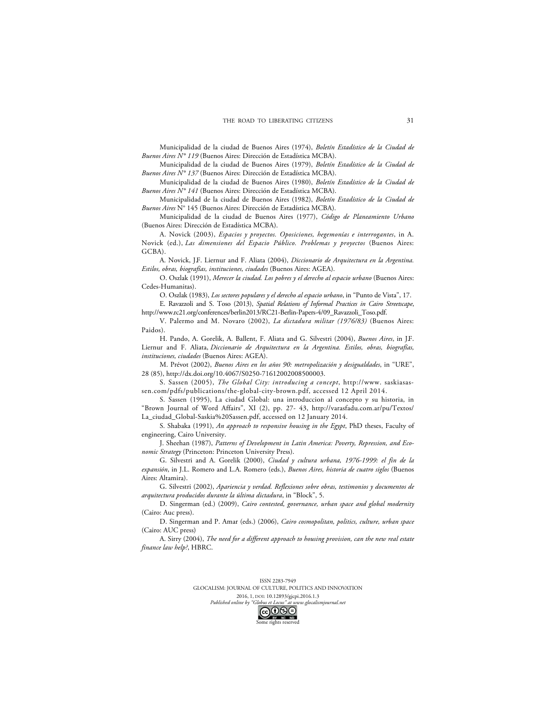Municipalidad de la ciudad de Buenos Aires (1974), *Boletín Estadístico de la Ciudad de Buenos Aires N° 119* (Buenos Aires: Dirección de Estadística MCBA).

Municipalidad de la ciudad de Buenos Aires (1979), *Boletín Estadístico de la Ciudad de Buenos Aires N° 137* (Buenos Aires: Dirección de Estadística MCBA).

Municipalidad de la ciudad de Buenos Aires (1980), *Boletín Estadístico de la Ciudad de Buenos Aires N° 141* (Buenos Aires: Dirección de Estadística MCBA).

Municipalidad de la ciudad de Buenos Aires (1982), *Boletín Estadístico de la Ciudad de Buenos Aires* N° 145 (Buenos Aires: Dirección de Estadística MCBA).

Municipalidad de la ciudad de Buenos Aires (1977), *Código de Planeamiento Urbano* (Buenos Aires: Dirección de Estadística MCBA).

A. Novick (2003), *Espacios y proyectos. Oposiciones, hegemonías e interrogantes*, in A. Novick (ed.), *Las dimensiones del Espacio Público. Problemas y proyectos* (Buenos Aires: GCBA).

A. Novick, J.F. Liernur and F. Aliata (2004), *Diccionario de Arquitectura en la Argentina. Estilos, obras, biografías, instituciones, ciudades* (Buenos Aires: AGEA).

O. Oszlak (1991), *Merecer la ciudad. Los pobres y el derecho al espacio urbano* (Buenos Aires: Cedes-Humanitas).

O. Oszlak (1983), *Los sectores populares y el derecho al espacio urbano*, in "Punto de Vista", 17. E. Ravazzoli and S. Toso (2013), *Spatial Relations of Informal Practices in Cairo Streetscape*,

http://www.rc21.org/conferences/berlin2013/RC21-Berlin-Papers-4/09\_Ravazzoli\_Toso.pdf. V. Palermo and M. Novaro (2002), *La dictadura militar (1976/83)* (Buenos Aires:

Paidos).

H. Pando, A. Gorelik, A. Ballent, F. Aliata and G. Silvestri (2004), *Buenos Aires*, in J.F. Liernur and F. Aliata, *Diccionario de Arquitectura en la Argentina. Estilos, obras, biografías, instituciones, ciudades* (Buenos Aires: AGEA).

M. Prévot (2002), *Buenos Aires en los años 90: metropolización y desigualdades*, in "URE", 28 (85), http://dx.doi.org/10.4067/S0250-71612002008500003.

S. Sassen (2005), *The Global City: introducing a concept*, http://www. saskiasassen.com/pdfs/publications/the-global-city-brown.pdf, accessed 12 April 2014.

S. Sassen (1995), La ciudad Global: una introduccion al concepto y su historia, in "Brown Journal of Word Affairs", XI (2), pp. 27- 43, http://varasfadu.com.ar/pu/Textos/ La\_ciudad\_Global-Saskia%20Sassen.pdf, accessed on 12 January 2014.

S. Shabaka (1991), *An approach to responsive housing in the Egypt*, PhD theses, Faculty of engineering, Cairo University.

J. Sheehan (1987), *Patterns of Development in Latin America: Poverty, Repression, and Economic Strategy* (Princeton: Princeton University Press).

G. Silvestri and A. Gorelik (2000), *Ciudad y cultura urbana, 1976-1999: el fin de la expansión*, in J.L. Romero and L.A. Romero (eds.), *Buenos Aires, historia de cuatro siglos* (Buenos Aires: Altamira).

G. Silvestri (2002), *Apariencia y verdad. Reflexiones sobre obras, testimonios y documentos de arquitectura producidos durante la última dictadura*, in "Block", 5.

D. Singerman (ed.) (2009), *Cairo contested, governance, urban space and global modernity* (Cairo: Auc press).

D. Singerman and P. Amar (eds.) (2006), *Cairo cosmopolitan, politics, culture, urban space* (Cairo: AUC press)

A. Sirry (2004), *The need for a different approach to housing provision, can the new real estate finance law help?*, HBRC.